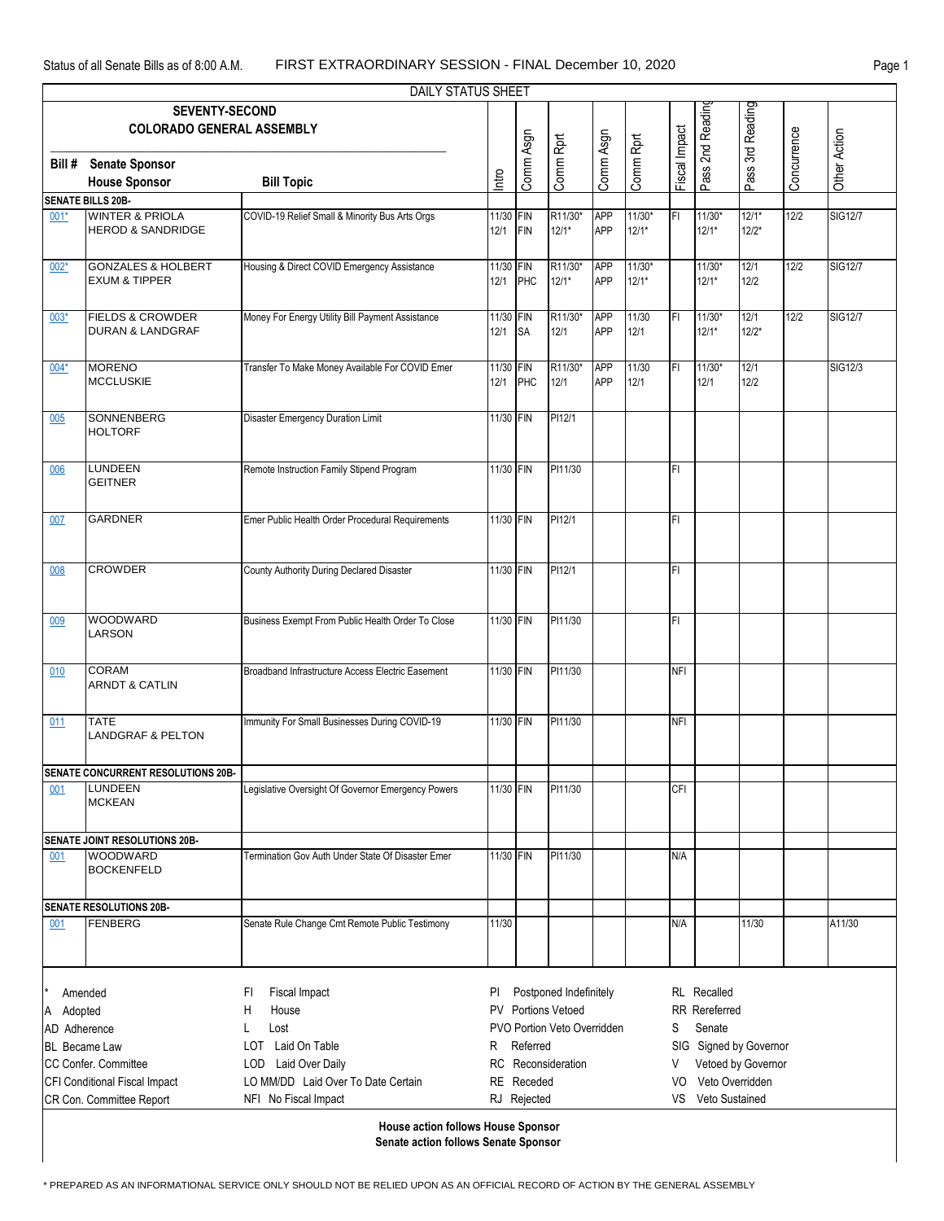| <b>DAILY STATUS SHEET</b>                 |                                                  |                                                    |                                         |             |           |            |           |                         |                  |                  |             |                |  |  |
|-------------------------------------------|--------------------------------------------------|----------------------------------------------------|-----------------------------------------|-------------|-----------|------------|-----------|-------------------------|------------------|------------------|-------------|----------------|--|--|
|                                           | <b>SEVENTY-SECOND</b>                            |                                                    |                                         |             |           |            |           |                         |                  |                  |             |                |  |  |
|                                           | <b>COLORADO GENERAL ASSEMBLY</b>                 |                                                    |                                         |             |           |            |           |                         | Pass 2nd Reading | Pass 3rd Reading |             |                |  |  |
|                                           |                                                  |                                                    |                                         |             |           |            |           |                         |                  |                  |             |                |  |  |
| Bill #                                    | <b>Senate Sponsor</b>                            |                                                    |                                         |             |           |            |           |                         |                  |                  |             |                |  |  |
|                                           | <b>House Sponsor</b>                             | <b>Bill Topic</b>                                  | Intro                                   | Comm Asgn   | Comm Rprt | Comm Asgn  | Comm Rprt | Fiscal Impact           |                  |                  | Concurrence | Other Action   |  |  |
|                                           | <b>SENATE BILLS 20B-</b>                         |                                                    |                                         |             |           |            |           |                         |                  |                  |             |                |  |  |
| $001*$                                    | <b>WINTER &amp; PRIOLA</b>                       | COVID-19 Relief Small & Minority Bus Arts Orgs     | 11/30 FIN                               |             | R11/30*   | <b>APP</b> | $11/30*$  | FI                      | $11/30*$         | $12/1*$          | 12/2        | <b>SIG12/7</b> |  |  |
|                                           | <b>HEROD &amp; SANDRIDGE</b>                     |                                                    | 12/1                                    | FIN         | $12/1*$   | <b>APP</b> | $12/1*$   |                         | $12/1*$          | $12/2*$          |             |                |  |  |
|                                           |                                                  |                                                    |                                         |             |           |            |           |                         |                  |                  |             |                |  |  |
| $002*$                                    | <b>GONZALES &amp; HOLBERT</b>                    | Housing & Direct COVID Emergency Assistance        | 11/30 FIN                               |             | R11/30*   | <b>APP</b> | $11/30*$  |                         | $11/30*$         | 12/1             | $12/2$      | <b>SIG12/7</b> |  |  |
|                                           | <b>EXUM &amp; TIPPER</b>                         |                                                    | 12/1                                    | PHC         | $12/1*$   | <b>APP</b> | $12/1*$   |                         | $12/1*$          | 12/2             |             |                |  |  |
|                                           |                                                  |                                                    |                                         |             |           |            |           |                         |                  |                  |             |                |  |  |
| $003*$                                    | <b>FIELDS &amp; CROWDER</b>                      | Money For Energy Utility Bill Payment Assistance   | 11/30 FIN                               |             | R11/30*   | <b>APP</b> | 11/30     | İΕL                     | 11/30*           | 12/1             | 12/2        | <b>SIG12/7</b> |  |  |
|                                           | <b>DURAN &amp; LANDGRAF</b>                      |                                                    | 12/1                                    | <b>SA</b>   | 12/1      | <b>APP</b> | $12/1$    |                         | $12/1*$          | $12/2*$          |             |                |  |  |
|                                           |                                                  |                                                    |                                         |             |           |            |           |                         |                  |                  |             |                |  |  |
| $004*$                                    | <b>MORENO</b>                                    | Transfer To Make Money Available For COVID Emer    | 11/30 FIN                               |             | R11/30*   | <b>APP</b> | 11/30     | FI                      | 11/30*           | 12/1             |             | SIG12/3        |  |  |
|                                           | <b>MCCLUSKIE</b>                                 |                                                    | 12/1                                    | PHC         | 12/1      | <b>APP</b> | 12/1      |                         | 12/1             | 12/2             |             |                |  |  |
|                                           |                                                  |                                                    |                                         |             |           |            |           |                         |                  |                  |             |                |  |  |
| 005                                       | <b>SONNENBERG</b>                                | Disaster Emergency Duration Limit                  | 11/30 FIN                               |             | PI12/1    |            |           |                         |                  |                  |             |                |  |  |
|                                           | <b>HOLTORF</b>                                   |                                                    |                                         |             |           |            |           |                         |                  |                  |             |                |  |  |
|                                           |                                                  |                                                    |                                         |             |           |            |           |                         |                  |                  |             |                |  |  |
| 006                                       | <b>LUNDEEN</b>                                   | Remote Instruction Family Stipend Program          | 11/30 FIN                               |             | PI11/30   |            |           | FI                      |                  |                  |             |                |  |  |
|                                           | <b>GEITNER</b>                                   |                                                    |                                         |             |           |            |           |                         |                  |                  |             |                |  |  |
|                                           |                                                  |                                                    |                                         |             |           |            |           |                         |                  |                  |             |                |  |  |
| 007                                       | <b>GARDNER</b>                                   | Emer Public Health Order Procedural Requirements   | 11/30 FIN                               |             | PI12/1    |            |           | FI                      |                  |                  |             |                |  |  |
|                                           |                                                  |                                                    |                                         |             |           |            |           |                         |                  |                  |             |                |  |  |
|                                           |                                                  |                                                    |                                         |             |           |            |           |                         |                  |                  |             |                |  |  |
| 008                                       | <b>CROWDER</b>                                   | County Authority During Declared Disaster          | 11/30 FIN                               |             | PI12/1    |            |           | FI                      |                  |                  |             |                |  |  |
|                                           |                                                  |                                                    |                                         |             |           |            |           |                         |                  |                  |             |                |  |  |
|                                           |                                                  |                                                    |                                         |             |           |            |           |                         |                  |                  |             |                |  |  |
| 009                                       | WOODWARD                                         | Business Exempt From Public Health Order To Close  | 11/30 FIN                               |             | PI11/30   |            |           | FI                      |                  |                  |             |                |  |  |
|                                           | LARSON                                           |                                                    |                                         |             |           |            |           |                         |                  |                  |             |                |  |  |
|                                           |                                                  |                                                    |                                         |             |           |            |           |                         |                  |                  |             |                |  |  |
| 010                                       | <b>CORAM</b>                                     | Broadband Infrastructure Access Electric Easement  | 11/30 FIN                               |             | PI11/30   |            |           | <b>NFI</b>              |                  |                  |             |                |  |  |
|                                           | <b>ARNDT &amp; CATLIN</b>                        |                                                    |                                         |             |           |            |           |                         |                  |                  |             |                |  |  |
|                                           |                                                  |                                                    |                                         |             |           |            |           |                         |                  |                  |             |                |  |  |
| 011                                       | <b>TATE</b>                                      | Immunity For Small Businesses During COVID-19      | 11/30 FIN                               |             | PI11/30   |            |           | <b>NFI</b>              |                  |                  |             |                |  |  |
|                                           | <b>LANDGRAF &amp; PELTON</b>                     |                                                    |                                         |             |           |            |           |                         |                  |                  |             |                |  |  |
|                                           |                                                  |                                                    |                                         |             |           |            |           |                         |                  |                  |             |                |  |  |
|                                           | <b>SENATE CONCURRENT RESOLUTIONS 20B-</b>        |                                                    |                                         |             |           |            |           |                         |                  |                  |             |                |  |  |
| 001                                       | LUNDEEN<br><b>MCKEAN</b>                         | Legislative Oversight Of Governor Emergency Powers | 11/30 FIN                               |             | PI11/30   |            |           | <b>CFI</b>              |                  |                  |             |                |  |  |
|                                           |                                                  |                                                    |                                         |             |           |            |           |                         |                  |                  |             |                |  |  |
|                                           |                                                  |                                                    |                                         |             |           |            |           |                         |                  |                  |             |                |  |  |
|                                           | SENATE JOINT RESOLUTIONS 20B-<br><b>WOODWARD</b> | Termination Gov Auth Under State Of Disaster Emer  | 11/30 FIN                               |             | PI11/30   |            |           |                         |                  |                  |             |                |  |  |
| 001                                       | <b>BOCKENFELD</b>                                |                                                    |                                         |             |           |            |           | N/A                     |                  |                  |             |                |  |  |
|                                           |                                                  |                                                    |                                         |             |           |            |           |                         |                  |                  |             |                |  |  |
| <b>SENATE RESOLUTIONS 20B-</b>            |                                                  |                                                    |                                         |             |           |            |           |                         |                  |                  |             |                |  |  |
| 001                                       | FENBERG                                          | Senate Rule Change Cmt Remote Public Testimony     | 11/30                                   |             |           |            |           | N/A                     |                  | 11/30            |             | A11/30         |  |  |
|                                           |                                                  |                                                    |                                         |             |           |            |           |                         |                  |                  |             |                |  |  |
|                                           |                                                  |                                                    |                                         |             |           |            |           |                         |                  |                  |             |                |  |  |
|                                           |                                                  |                                                    |                                         |             |           |            |           |                         |                  |                  |             |                |  |  |
| FI                                        |                                                  |                                                    |                                         |             |           |            |           |                         |                  |                  |             |                |  |  |
| Amended                                   |                                                  | Fiscal Impact                                      | Postponed Indefinitely<br>PI.           |             |           |            |           | RL Recalled             |                  |                  |             |                |  |  |
| Adopted<br>A                              |                                                  | Н<br>House                                         | PV Portions Vetoed                      |             |           |            |           | RR Rereferred           |                  |                  |             |                |  |  |
| AD Adherence                              |                                                  | Lost<br>L                                          | PVO Portion Veto Overridden             |             |           |            |           | S<br>Senate             |                  |                  |             |                |  |  |
| <b>BL</b> Became Law                      |                                                  | LOT Laid On Table                                  | SIG Signed by Governor<br>Referred<br>R |             |           |            |           |                         |                  |                  |             |                |  |  |
| CC Confer. Committee                      |                                                  | LOD Laid Over Daily                                | Reconsideration<br><b>RC</b>            |             |           |            |           | Vetoed by Governor<br>V |                  |                  |             |                |  |  |
| CFI Conditional Fiscal Impact             |                                                  | LO MM/DD Laid Over To Date Certain                 | RE Receded                              |             |           |            |           | Veto Overridden<br>VO.  |                  |                  |             |                |  |  |
|                                           | CR Con. Committee Report                         | NFI No Fiscal Impact                               |                                         | RJ Rejected |           |            |           | VS.                     | Veto Sustained   |                  |             |                |  |  |
| <b>House action follows House Sponsor</b> |                                                  |                                                    |                                         |             |           |            |           |                         |                  |                  |             |                |  |  |
| Senate action follows Senate Sponsor      |                                                  |                                                    |                                         |             |           |            |           |                         |                  |                  |             |                |  |  |
|                                           |                                                  |                                                    |                                         |             |           |            |           |                         |                  |                  |             |                |  |  |

.<br>\* PREPARED AS AN INFORMATIONAL SERVICE ONLY SHOULD NOT BE RELIED UPON AS AN OFFICIAL RECORD OF ACTION BY THE GENERAL ASSEMBLY